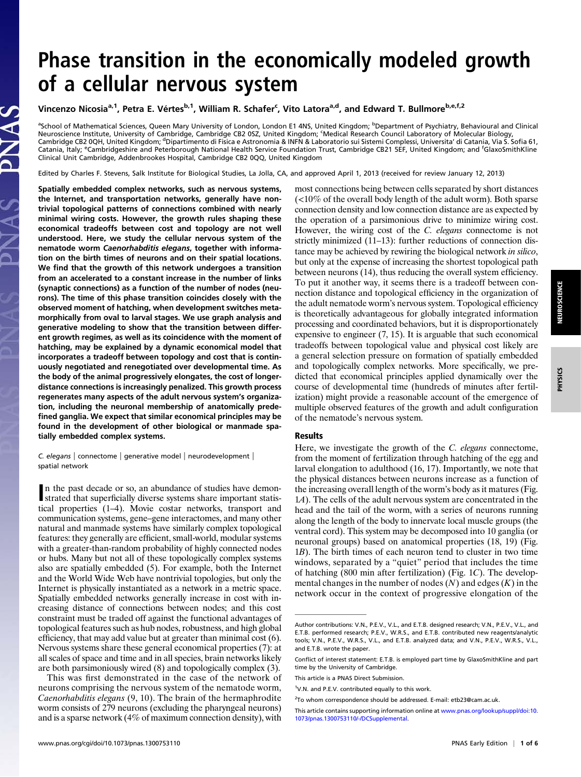# Phase transition in the economically modeled growth of a cellular nervous system

Vincenzo Nicosia<sup>a, 1</sup>, Petra E. Vértes<sup>b, 1</sup>, William R. Schafer<sup>c</sup>, Vito Latora<sup>a,d</sup>, and Edward T. Bullmore<sup>b,e,f,2</sup>

<sup>a</sup>School of Mathematical Sciences, Queen Mary University of London, London E1 4NS, United Kingdom; <sup>b</sup>Department of Psychiatry, Behavioural and Clinical<br>Neuroscience Institute, University of Cambridge, Cambridge CB2 0SZ, Cambridge CB2 0QH, United Kingdom; <sup>d</sup>Dipartimento di Fisica e Astronomia & INFN & Laboratorio sui Sistemi Complessi, Universita' di Catania, Via S. Sofia 61, Catania, Italy; <sup>e</sup>Cambridgeshire and Peterborough National Health Service Foundation Trust, Cambridge CB21 5EF, United Kingdom; and <sup>f</sup>GlaxoSmithKline Clinical Unit Cambridge, Addenbrookes Hospital, Cambridge CB2 0QQ, United Kingdom

Edited by Charles F. Stevens, Salk Institute for Biological Studies, La Jolla, CA, and approved April 1, 2013 (received for review January 12, 2013)

Spatially embedded complex networks, such as nervous systems, the Internet, and transportation networks, generally have nontrivial topological patterns of connections combined with nearly minimal wiring costs. However, the growth rules shaping these economical tradeoffs between cost and topology are not well understood. Here, we study the cellular nervous system of the nematode worm Caenorhabditis elegans, together with information on the birth times of neurons and on their spatial locations. We find that the growth of this network undergoes a transition from an accelerated to a constant increase in the number of links (synaptic connections) as a function of the number of nodes (neurons). The time of this phase transition coincides closely with the observed moment of hatching, when development switches metamorphically from oval to larval stages. We use graph analysis and generative modeling to show that the transition between different growth regimes, as well as its coincidence with the moment of hatching, may be explained by a dynamic economical model that incorporates a tradeoff between topology and cost that is continuously negotiated and renegotiated over developmental time. As the body of the animal progressively elongates, the cost of longerdistance connections is increasingly penalized. This growth process regenerates many aspects of the adult nervous system's organization, including the neuronal membership of anatomically predefined ganglia. We expect that similar economical principles may be found in the development of other biological or manmade spatially embedded complex systems.

C. elegans | connectome | generative model | neurodevelopment | spatial network

In the past decade or so, an abundance of studies have demon-<br>strated that superficially diverse systems share important statistical properties (1–4). Movie costar networks, transport and communication systems, gene–gene interactomes, and many other natural and manmade systems have similarly complex topological features: they generally are efficient, small-world, modular systems with a greater-than-random probability of highly connected nodes or hubs. Many but not all of these topologically complex systems also are spatially embedded (5). For example, both the Internet and the World Wide Web have nontrivial topologies, but only the Internet is physically instantiated as a network in a metric space. Spatially embedded networks generally increase in cost with increasing distance of connections between nodes; and this cost constraint must be traded off against the functional advantages of topological features such as hub nodes, robustness, and high global efficiency, that may add value but at greater than minimal cost (6). Nervous systems share these general economical properties (7): at all scales of space and time and in all species, brain networks likely are both parsimoniously wired (8) and topologically complex (3).

This was first demonstrated in the case of the network of neurons comprising the nervous system of the nematode worm, Caenorhabditis elegans (9, 10). The brain of the hermaphrodite worm consists of 279 neurons (excluding the pharyngeal neurons) and is a sparse network (4% of maximum connection density), with most connections being between cells separated by short distances (<10% of the overall body length of the adult worm). Both sparse connection density and low connection distance are as expected by the operation of a parsimonious drive to minimize wiring cost. However, the wiring cost of the C. elegans connectome is not strictly minimized (11–13): further reductions of connection distance may be achieved by rewiring the biological network in silico, but only at the expense of increasing the shortest topological path between neurons (14), thus reducing the overall system efficiency. To put it another way, it seems there is a tradeoff between connection distance and topological efficiency in the organization of the adult nematode worm's nervous system. Topological efficiency is theoretically advantageous for globally integrated information processing and coordinated behaviors, but it is disproportionately expensive to engineer (7, 15). It is arguable that such economical tradeoffs between topological value and physical cost likely are a general selection pressure on formation of spatially embedded and topologically complex networks. More specifically, we predicted that economical principles applied dynamically over the course of developmental time (hundreds of minutes after fertilization) might provide a reasonable account of the emergence of multiple observed features of the growth and adult configuration of the nematode's nervous system.

#### Results

Here, we investigate the growth of the C. elegans connectome, from the moment of fertilization through hatching of the egg and larval elongation to adulthood (16, 17). Importantly, we note that the physical distances between neurons increase as a function of the increasing overall length of the worm's body as it matures (Fig. 1A). The cells of the adult nervous system are concentrated in the head and the tail of the worm, with a series of neurons running along the length of the body to innervate local muscle groups (the ventral cord). This system may be decomposed into 10 ganglia (or neuronal groups) based on anatomical properties (18, 19) (Fig. 1B). The birth times of each neuron tend to cluster in two time windows, separated by a "quiet" period that includes the time of hatching (800 min after fertilization) (Fig. 1C). The developmental changes in the number of nodes  $(N)$  and edges  $(K)$  in the network occur in the context of progressive elongation of the

Author contributions: V.N., P.E.V., V.L., and E.T.B. designed research; V.N., P.E.V., V.L., and E.T.B. performed research; P.E.V., W.R.S., and E.T.B. contributed new reagents/analytic tools; V.N., P.E.V., W.R.S., V.L., and E.T.B. analyzed data; and V.N., P.E.V., W.R.S., V.L., and E.T.B. wrote the paper.

Conflict of interest statement: E.T.B. is employed part time by GlaxoSmithKline and part time by the University of Cambridge.

This article is a PNAS Direct Submission.

<sup>&</sup>lt;sup>1</sup>V.N. and P.E.V. contributed equally to this work.

<sup>&</sup>lt;sup>2</sup>To whom correspondence should be addressed. E-mail: [etb23@cam.ac.uk](mailto:etb23@cam.ac.uk).

This article contains supporting information online at [www.pnas.org/lookup/suppl/doi:10.](http://www.pnas.org/lookup/suppl/doi:10.1073/pnas.1300753110/-/DCSupplemental) [1073/pnas.1300753110/-/DCSupplemental](http://www.pnas.org/lookup/suppl/doi:10.1073/pnas.1300753110/-/DCSupplemental).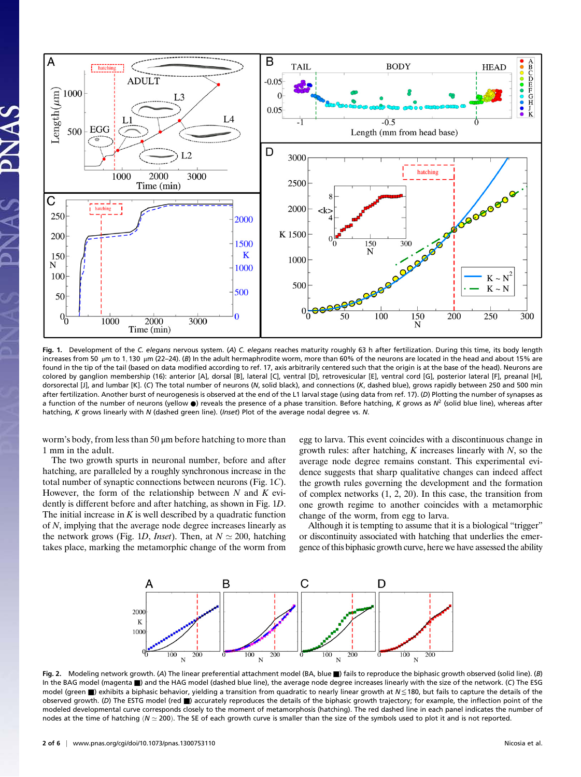

Fig. 1. Development of the C. elegans nervous system. (A) C. elegans reaches maturity roughly 63 h after fertilization. During this time, its body length increases from 50 μm to 1; 130 μm (22–24). (B) In the adult hermaphrodite worm, more than 60% of the neurons are located in the head and about 15% are found in the tip of the tail (based on data modified according to ref. 17, axis arbitrarily centered such that the origin is at the base of the head). Neurons are colored by ganglion membership (16): anterior [A], dorsal [B], lateral [C], ventral [D], retrovesicular [E], ventral cord [G], posterior lateral [F], preanal [H], dorsorectal [J], and lumbar [K]. (C) The total number of neurons (N, solid black), and connections (K, dashed blue), grows rapidly between 250 and 500 min after fertilization. Another burst of neurogenesis is observed at the end of the L1 larval stage (using data from ref. 17). (D) Plotting the number of synapses as a function of the number of neurons (yellow  $\bullet$ ) reveals the presence of a phase transition. Before hatching, K grows as  $N^2$  (solid blue line), whereas after hatching, K grows linearly with N (dashed green line). (Inset) Plot of the average nodal degree vs. N.

worm's body, from less than 50 μm before hatching to more than 1 mm in the adult.

The two growth spurts in neuronal number, before and after hatching, are paralleled by a roughly synchronous increase in the total number of synaptic connections between neurons (Fig. 1C). However, the form of the relationship between  $N$  and  $K$  evidently is different before and after hatching, as shown in Fig. 1D. The initial increase in  $K$  is well described by a quadratic function of N, implying that the average node degree increases linearly as the network grows (Fig. 1D, *Inset*). Then, at  $N \approx 200$ , hatching takes place, marking the metamorphic change of the worm from egg to larva. This event coincides with a discontinuous change in growth rules: after hatching,  $K$  increases linearly with  $N$ , so the average node degree remains constant. This experimental evidence suggests that sharp qualitative changes can indeed affect the growth rules governing the development and the formation of complex networks (1, 2, 20). In this case, the transition from one growth regime to another coincides with a metamorphic change of the worm, from egg to larva.

Although it is tempting to assume that it is a biological "trigger" or discontinuity associated with hatching that underlies the emergence of this biphasic growth curve, here we have assessed the ability



Fig. 2. Modeling network growth. (A) The linear preferential attachment model (BA, blue ■) fails to reproduce the biphasic growth observed (solid line). (B) In the BAG model (magenta ■) and the HAG model (dashed blue line), the average node degree increases linearly with the size of the network. (C) The ESG model (green  $\blacksquare$ ) exhibits a biphasic behavior, yielding a transition from quadratic to nearly linear growth at  $N \le 180$ , but fails to capture the details of the observed growth. (D) The ESTG model (red ■) accurately reproduces the details of the biphasic growth trajectory; for example, the inflection point of the modeled developmental curve corresponds closely to the moment of metamorphosis (hatching). The red dashed line in each panel indicates the number of nodes at the time of hatching ( $N \approx 200$ ). The SE of each growth curve is smaller than the size of the symbols used to plot it and is not reported.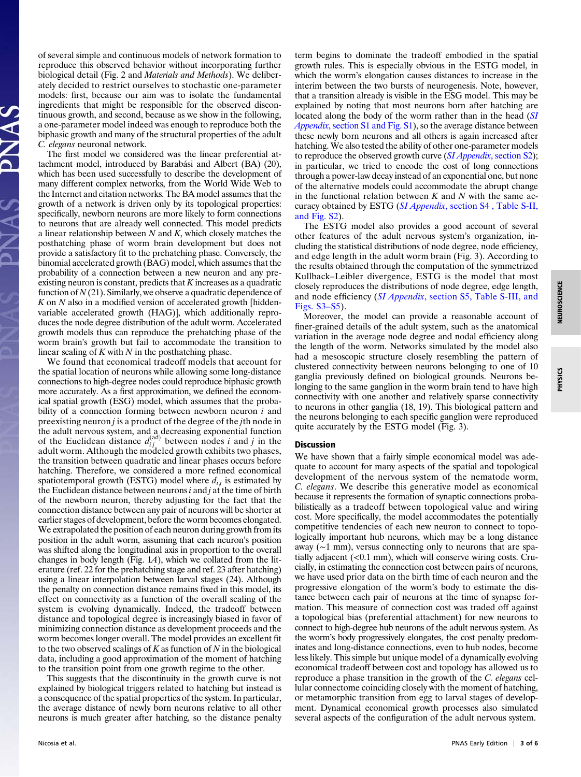of several simple and continuous models of network formation to reproduce this observed behavior without incorporating further biological detail (Fig. 2 and Materials and Methods). We deliberately decided to restrict ourselves to stochastic one-parameter models: first, because our aim was to isolate the fundamental ingredients that might be responsible for the observed discontinuous growth, and second, because as we show in the following, a one-parameter model indeed was enough to reproduce both the biphasic growth and many of the structural properties of the adult C. elegans neuronal network.

The first model we considered was the linear preferential attachment model, introduced by Barabási and Albert (BA) (20), which has been used successfully to describe the development of many different complex networks, from the World Wide Web to the Internet and citation networks. The BA model assumes that the growth of a network is driven only by its topological properties: specifically, newborn neurons are more likely to form connections to neurons that are already well connected. This model predicts a linear relationship between  $N$  and  $K$ , which closely matches the posthatching phase of worm brain development but does not provide a satisfactory fit to the prehatching phase. Conversely, the binomial accelerated growth (BAG) model, which assumes that the probability of a connection between a new neuron and any preexisting neuron is constant, predicts that  $K$  increases as a quadratic function of  $N(21)$ . Similarly, we observe a quadratic dependence of K on N also in a modified version of accelerated growth [hiddenvariable accelerated growth (HAG)], which additionally reproduces the node degree distribution of the adult worm. Accelerated growth models thus can reproduce the prehatching phase of the worm brain's growth but fail to accommodate the transition to linear scaling of  $K$  with  $N$  in the posthatching phase.

We found that economical tradeoff models that account for the spatial location of neurons while allowing some long-distance connections to high-degree nodes could reproduce biphasic growth more accurately. As a first approximation, we defined the economical spatial growth (ESG) model, which assumes that the probability of a connection forming between newborn neuron  $i$  and preexisting neuron j is a product of the degree of the jth node in the adult nervous system, and a decreasing exponential function of the Euclidean distance  $d_{ij}^{(\text{ad})}$  between nodes i and j in the adult worm. Although the modeled growth exhibits two phases, the transition between quadratic and linear phases occurs before hatching. Therefore, we considered a more refined economical spatiotemporal growth (ESTG) model where  $d_{i,j}$  is estimated by the Euclidean distance between neurons  $i$  and  $j$  at the time of birth of the newborn neuron, thereby adjusting for the fact that the connection distance between any pair of neurons will be shorter at earlier stages of development, before the worm becomes elongated. We extrapolated the position of each neuron during growth from its position in the adult worm, assuming that each neuron's position was shifted along the longitudinal axis in proportion to the overall changes in body length (Fig. 1A), which we collated from the literature (ref. 22 for the prehatching stage and ref. 23 after hatching) using a linear interpolation between larval stages (24). Although the penalty on connection distance remains fixed in this model, its effect on connectivity as a function of the overall scaling of the system is evolving dynamically. Indeed, the tradeoff between distance and topological degree is increasingly biased in favor of minimizing connection distance as development proceeds and the worm becomes longer overall. The model provides an excellent fit to the two observed scalings of K as function of N in the biological data, including a good approximation of the moment of hatching to the transition point from one growth regime to the other.

This suggests that the discontinuity in the growth curve is not explained by biological triggers related to hatching but instead is a consequence of the spatial properties of the system. In particular, the average distance of newly born neurons relative to all other neurons is much greater after hatching, so the distance penalty term begins to dominate the tradeoff embodied in the spatial growth rules. This is especially obvious in the ESTG model, in which the worm's elongation causes distances to increase in the interim between the two bursts of neurogenesis. Note, however, that a transition already is visible in the ESG model. This may be explained by noting that most neurons born after hatching are located along the body of the worm rather than in the head ([SI](http://www.pnas.org/lookup/suppl/doi:10.1073/pnas.1300753110/-/DCSupplemental/sapp.pdf) Appendix[, section S1 and Fig. S1\)](http://www.pnas.org/lookup/suppl/doi:10.1073/pnas.1300753110/-/DCSupplemental/sapp.pdf), so the average distance between these newly born neurons and all others is again increased after hatching. We also tested the ability of other one-parameter models to reproduce the observed growth curve ([SI Appendix](http://www.pnas.org/lookup/suppl/doi:10.1073/pnas.1300753110/-/DCSupplemental/sapp.pdf), section S2); in particular, we tried to encode the cost of long connections through a power-law decay instead of an exponential one, but none of the alternative models could accommodate the abrupt change in the functional relation between  $K$  and  $N$  with the same accuracy obtained by ESTG (SI Appendix[, section S4 , Table S-II,](http://www.pnas.org/lookup/suppl/doi:10.1073/pnas.1300753110/-/DCSupplemental/sapp.pdf) [and Fig. S2\)](http://www.pnas.org/lookup/suppl/doi:10.1073/pnas.1300753110/-/DCSupplemental/sapp.pdf). The ESTG model also provides a good account of several

other features of the adult nervous system's organization, including the statistical distributions of node degree, node efficiency, and edge length in the adult worm brain (Fig. 3). According to the results obtained through the computation of the symmetrized Kullback–Leibler divergence, ESTG is the model that most closely reproduces the distributions of node degree, edge length, and node efficiency (SI Appendix[, section S5, Table S-III, and](http://www.pnas.org/lookup/suppl/doi:10.1073/pnas.1300753110/-/DCSupplemental/sapp.pdf) [Figs. S3](http://www.pnas.org/lookup/suppl/doi:10.1073/pnas.1300753110/-/DCSupplemental/sapp.pdf)–[S5](http://www.pnas.org/lookup/suppl/doi:10.1073/pnas.1300753110/-/DCSupplemental/sapp.pdf)).

Moreover, the model can provide a reasonable account of finer-grained details of the adult system, such as the anatomical variation in the average node degree and nodal efficiency along the length of the worm. Networks simulated by the model also had a mesoscopic structure closely resembling the pattern of clustered connectivity between neurons belonging to one of 10 ganglia previously defined on biological grounds. Neurons belonging to the same ganglion in the worm brain tend to have high connectivity with one another and relatively sparse connectivity to neurons in other ganglia (18, 19). This biological pattern and the neurons belonging to each specific ganglion were reproduced quite accurately by the ESTG model (Fig. 3).

#### Discussion

We have shown that a fairly simple economical model was adequate to account for many aspects of the spatial and topological development of the nervous system of the nematode worm, C. elegans. We describe this generative model as economical because it represents the formation of synaptic connections probabilistically as a tradeoff between topological value and wiring cost. More specifically, the model accommodates the potentially competitive tendencies of each new neuron to connect to topologically important hub neurons, which may be a long distance away (∼1 mm), versus connecting only to neurons that are spatially adjacent (<0.1 mm), which will conserve wiring costs. Crucially, in estimating the connection cost between pairs of neurons, we have used prior data on the birth time of each neuron and the progressive elongation of the worm's body to estimate the distance between each pair of neurons at the time of synapse formation. This measure of connection cost was traded off against a topological bias (preferential attachment) for new neurons to connect to high-degree hub neurons of the adult nervous system. As the worm's body progressively elongates, the cost penalty predominates and long-distance connections, even to hub nodes, become less likely. This simple but unique model of a dynamically evolving economical tradeoff between cost and topology has allowed us to reproduce a phase transition in the growth of the C. elegans cellular connectome coinciding closely with the moment of hatching, or metamorphic transition from egg to larval stages of development. Dynamical economical growth processes also simulated several aspects of the configuration of the adult nervous system.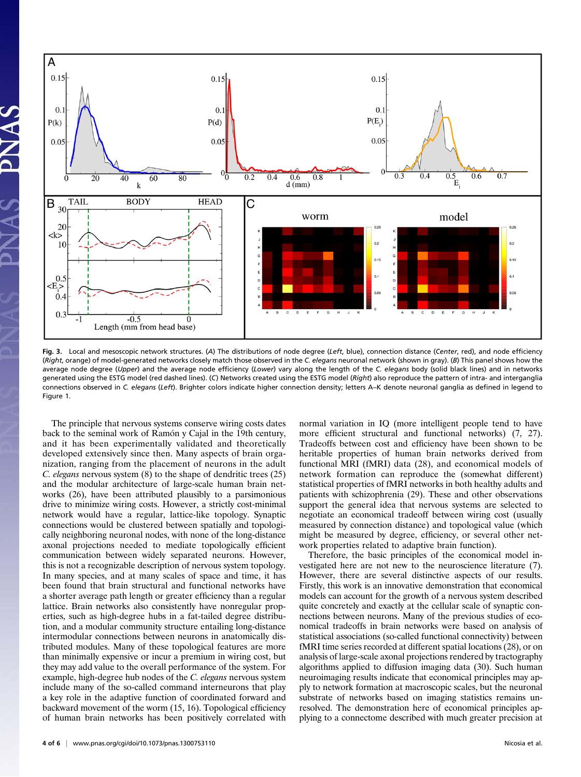

Fig. 3. Local and mesoscopic network structures. (A) The distributions of node degree (Left, blue), connection distance (Center, red), and node efficiency (Right, orange) of model-generated networks closely match those observed in the C. elegans neuronal network (shown in gray). (B) This panel shows how the average node degree (Upper) and the average node efficiency (Lower) vary along the length of the C. elegans body (solid black lines) and in networks generated using the ESTG model (red dashed lines). (C) Networks created using the ESTG model (Right) also reproduce the pattern of intra- and interganglia connections observed in C. elegans (Left). Brighter colors indicate higher connection density; letters A-K denote neuronal ganglia as defined in legend to Figure 1.

The principle that nervous systems conserve wiring costs dates back to the seminal work of Ramón y Cajal in the 19th century, and it has been experimentally validated and theoretically developed extensively since then. Many aspects of brain organization, ranging from the placement of neurons in the adult C. elegans nervous system (8) to the shape of dendritic trees (25) and the modular architecture of large-scale human brain networks (26), have been attributed plausibly to a parsimonious drive to minimize wiring costs. However, a strictly cost-minimal network would have a regular, lattice-like topology. Synaptic connections would be clustered between spatially and topologically neighboring neuronal nodes, with none of the long-distance axonal projections needed to mediate topologically efficient communication between widely separated neurons. However, this is not a recognizable description of nervous system topology. In many species, and at many scales of space and time, it has been found that brain structural and functional networks have a shorter average path length or greater efficiency than a regular lattice. Brain networks also consistently have nonregular properties, such as high-degree hubs in a fat-tailed degree distribution, and a modular community structure entailing long-distance intermodular connections between neurons in anatomically distributed modules. Many of these topological features are more than minimally expensive or incur a premium in wiring cost, but they may add value to the overall performance of the system. For example, high-degree hub nodes of the C. elegans nervous system include many of the so-called command interneurons that play a key role in the adaptive function of coordinated forward and backward movement of the worm (15, 16). Topological efficiency of human brain networks has been positively correlated with

normal variation in IQ (more intelligent people tend to have more efficient structural and functional networks) (7, 27). Tradeoffs between cost and efficiency have been shown to be heritable properties of human brain networks derived from functional MRI (fMRI) data (28), and economical models of network formation can reproduce the (somewhat different) statistical properties of fMRI networks in both healthy adults and patients with schizophrenia (29). These and other observations support the general idea that nervous systems are selected to negotiate an economical tradeoff between wiring cost (usually measured by connection distance) and topological value (which might be measured by degree, efficiency, or several other network properties related to adaptive brain function).

Therefore, the basic principles of the economical model investigated here are not new to the neuroscience literature (7). However, there are several distinctive aspects of our results. Firstly, this work is an innovative demonstration that economical models can account for the growth of a nervous system described quite concretely and exactly at the cellular scale of synaptic connections between neurons. Many of the previous studies of economical tradeoffs in brain networks were based on analysis of statistical associations (so-called functional connectivity) between fMRI time series recorded at different spatial locations (28), or on analysis of large-scale axonal projections rendered by tractography algorithms applied to diffusion imaging data (30). Such human neuroimaging results indicate that economical principles may apply to network formation at macroscopic scales, but the neuronal substrate of networks based on imaging statistics remains unresolved. The demonstration here of economical principles applying to a connectome described with much greater precision at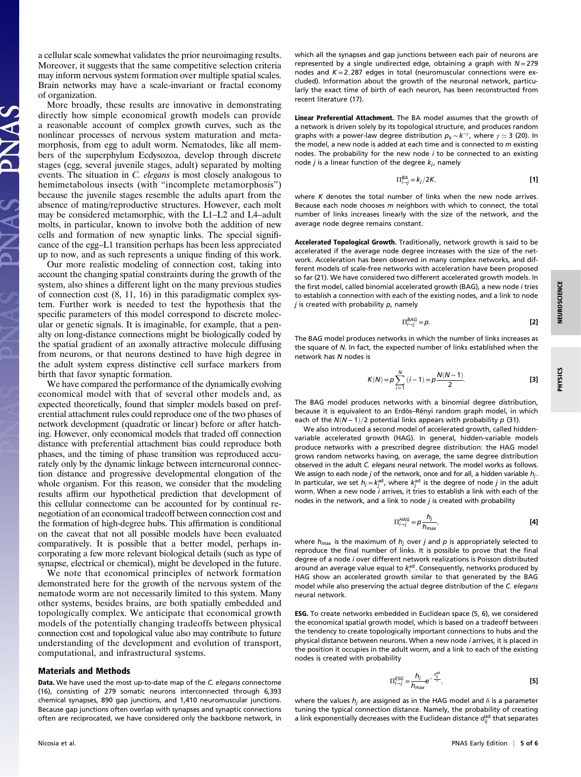a cellular scale somewhat validates the prior neuroimaging results. Moreover, it suggests that the same competitive selection criteria may inform nervous system formation over multiple spatial scales. Brain networks may have a scale-invariant or fractal economy of organization.

More broadly, these results are innovative in demonstrating directly how simple economical growth models can provide a reasonable account of complex growth curves, such as the nonlinear processes of nervous system maturation and metamorphosis, from egg to adult worm. Nematodes, like all members of the superphylum Ecdysozoa, develop through discrete stages (egg, several juvenile stages, adult) separated by molting events. The situation in C. elegans is most closely analogous to hemimetabolous insects (with "incomplete metamorphosis") because the juvenile stages resemble the adults apart from the absence of mating/reproductive structures. However, each molt may be considered metamorphic, with the L1–L2 and L4–adult molts, in particular, known to involve both the addition of new cells and formation of new synaptic links. The special significance of the egg–L1 transition perhaps has been less appreciated up to now, and as such represents a unique finding of this work.

Our more realistic modeling of connection cost, taking into account the changing spatial constraints during the growth of the system, also shines a different light on the many previous studies of connection cost (8, 11, 16) in this paradigmatic complex system. Further work is needed to test the hypothesis that the specific parameters of this model correspond to discrete molecular or genetic signals. It is imaginable, for example, that a penalty on long-distance connections might be biologically coded by the spatial gradient of an axonally attractive molecule diffusing from neurons, or that neurons destined to have high degree in the adult system express distinctive cell surface markers from birth that favor synaptic formation.

We have compared the performance of the dynamically evolving economical model with that of several other models and, as expected theoretically, found that simpler models based on preferential attachment rules could reproduce one of the two phases of network development (quadratic or linear) before or after hatching. However, only economical models that traded off connection distance with preferential attachment bias could reproduce both phases, and the timing of phase transition was reproduced accurately only by the dynamic linkage between interneuronal connection distance and progressive developmental elongation of the whole organism. For this reason, we consider that the modeling results affirm our hypothetical prediction that development of this cellular connectome can be accounted for by continual renegotiation of an economical tradeoff between connection cost and the formation of high-degree hubs. This affirmation is conditional on the caveat that not all possible models have been evaluated comparatively. It is possible that a better model, perhaps incorporating a few more relevant biological details (such as type of synapse, electrical or chemical), might be developed in the future.

We note that economical principles of network formation demonstrated here for the growth of the nervous system of the nematode worm are not necessarily limited to this system. Many other systems, besides brains, are both spatially embedded and topologically complex. We anticipate that economical growth models of the potentially changing tradeoffs between physical connection cost and topological value also may contribute to future understanding of the development and evolution of transport, computational, and infrastructural systems.

#### Materials and Methods

Data. We have used the most up-to-date map of the C. elegans connectome (16), consisting of 279 somatic neurons interconnected through 6,393 chemical synapses, 890 gap junctions, and 1,410 neuromuscular junctions. Because gap junctions often overlap with synapses and synaptic connections often are reciprocated, we have considered only the backbone network, in which all the synapses and gap junctions between each pair of neurons are represented by a single undirected edge, obtaining a graph with  $N = 279$ nodes and  $K = 2,287$  edges in total (neuromuscular connections were excluded). Information about the growth of the neuronal network, particularly the exact time of birth of each neuron, has been reconstructed from recent literature (17).

Linear Preferential Attachment. The BA model assumes that the growth of a network is driven solely by its topological structure, and produces random graphs with a power-law degree distribution  $p_k \sim k^{-\gamma}$ , where  $\gamma \simeq 3$  (20). In the model, a new node is added at each time and is connected to  $m$  existing nodes. The probability for the new node  $i$  to be connected to an existing node *j* is a linear function of the degree  $k_i$ , namely

$$
\Pi_{i \to j}^{BA} = k_j / 2K,
$$
 [1]

where K denotes the total number of links when the new node arrives. Because each node chooses  $m$  neighbors with which to connect, the total number of links increases linearly with the size of the network, and the average node degree remains constant.

Accelerated Topological Growth. Traditionally, network growth is said to be accelerated if the average node degree increases with the size of the network. Acceleration has been observed in many complex networks, and different models of scale-free networks with acceleration have been proposed so far (21). We have considered two different accelerated growth models. In the first model, called binomial accelerated growth (BAG), a new node *i* tries to establish a connection with each of the existing nodes, and a link to node  $j$  is created with probability  $p$ , namely

$$
\Pi_{i \to j}^{BAG} = p. \tag{2}
$$

The BAG model produces networks in which the number of links increases as the square of N. In fact, the expected number of links established when the network has N nodes is

$$
K(N) = p \sum_{i=1}^{N} (i-1) = p \frac{N(N-1)}{2}.
$$
 [3]

The BAG model produces networks with a binomial degree distribution, because it is equivalent to an Erdös–Rényi random graph model, in which each of the  $N(N-1)/2$  potential links appears with probability p (31).

We also introduced a second model of accelerated growth, called hiddenvariable accelerated growth (HAG). In general, hidden-variable models produce networks with a prescribed degree distribution: the HAG model grows random networks having, on average, the same degree distribution observed in the adult C. elegans neural network. The model works as follows. We assign to each node j of the network, once and for all, a hidden variable  $h_i$ . In particular, we set  $h_j = k_j^{\text{ad}}$ , where  $k_j^{\text{ad}}$  is the degree of node  $j$  in the adult worm. When a new node  $i$  arrives, it tries to establish a link with each of the nodes in the network, and a link to node j is created with probability

$$
\Pi_{j \to j}^{HAG} = \rho \frac{h_j}{h_{max}},
$$
 [4]

where  $h_{max}$  is the maximum of  $h_i$  over *j* and *p* is appropriately selected to reproduce the final number of links. It is possible to prove that the final degree of a node i over different network realizations is Poisson distributed around an average value equal to  $k_i^{\text{ad}}$ . Consequently, networks produced by HAG show an accelerated growth similar to that generated by the BAG model while also preserving the actual degree distribution of the C. elegans neural network.

ESG. To create networks embedded in Euclidean space (5, 6), we considered the economical spatial growth model, which is based on a tradeoff between the tendency to create topologically important connections to hubs and the physical distance between neurons. When a new node i arrives, it is placed in the position it occupies in the adult worm, and a link to each of the existing nodes is created with probability

$$
\Pi_{i \to j}^{ESG} = \frac{h_j}{h_{max}} e^{-\frac{\sigma_{ij}^{ad}}{\delta}},
$$
 [5]

where the values  $h_j$  are assigned as in the HAG model and  $\delta$  is a parameter tuning the typical connection distance. Namely, the probability of creating a link exponentially decreases with the Euclidean distance  $d_{ij}^{\text{ad}}$  that separates

**PHYSICS**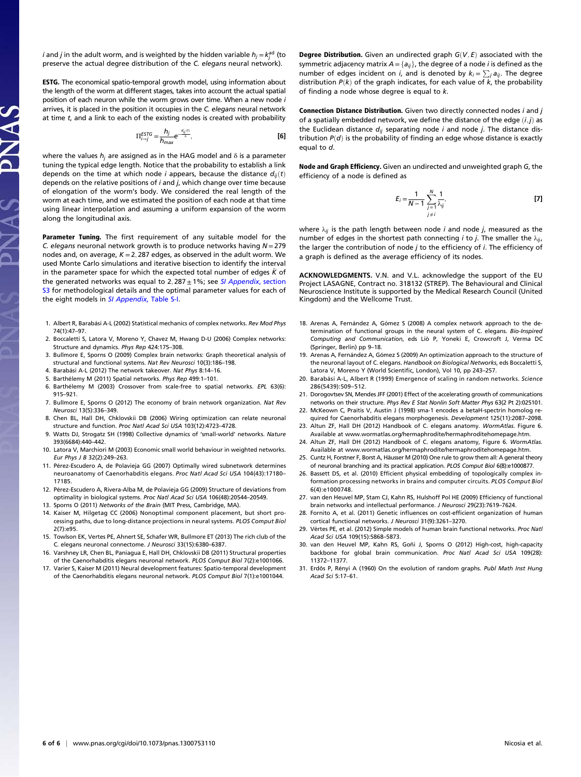*i* and *j* in the adult worm, and is weighted by the hidden variable  $h_j$  =  $k_j^{\mathrm{ad}}$  (to preserve the actual degree distribution of the C. elegans neural network).

ESTG. The economical spatio-temporal growth model, using information about the length of the worm at different stages, takes into account the actual spatial position of each neuron while the worm grows over time. When a new node i arrives, it is placed in the position it occupies in the C. elegans neural network at time t, and a link to each of the existing nodes is created with probability

$$
\Pi_{i \to j}^{\text{ESTG}} = \frac{h_j}{h_{\text{max}}} e^{-\frac{d_j(t)}{\delta}},\tag{6}
$$

where the values  $h_i$  are assigned as in the HAG model and  $\delta$  is a parameter tuning the typical edge length. Notice that the probability to establish a link depends on the time at which node i appears, because the distance  $d_{ii}(t)$ depends on the relative positions of  $i$  and  $j$ , which change over time because of elongation of the worm's body. We considered the real length of the worm at each time, and we estimated the position of each node at that time using linear interpolation and assuming a uniform expansion of the worm along the longitudinal axis.

Parameter Tuning. The first requirement of any suitable model for the C. elegans neuronal network growth is to produce networks having  $N = 279$ nodes and, on average,  $K = 2,287$  edges, as observed in the adult worm. We used Monte Carlo simulations and iterative bisection to identify the interval in the parameter space for which the expected total number of edges  $K$  of the generated networks was equal to  $2,287 \pm 1\%$ ; see [SI Appendix](http://www.pnas.org/lookup/suppl/doi:10.1073/pnas.1300753110/-/DCSupplemental/sapp.pdf), section 53 for methodological details and the optimal parameter values for each of the eight models in [SI Appendix](http://www.pnas.org/lookup/suppl/doi:10.1073/pnas.1300753110/-/DCSupplemental/sapp.pdf), Table S-I.

- 1. Albert R, Barabási A-L (2002) Statistical mechanics of complex networks. Rev Mod Phys 74(1):47–97.
- 2. Boccaletti S, Latora V, Moreno Y, Chavez M, Hwang D-U (2006) Complex networks: Structure and dynamics. Phys Rep 424:175–308.
- 3. Bullmore E, Sporns O (2009) Complex brain networks: Graph theoretical analysis of structural and functional systems. Nat Rev Neurosci 10(3):186–198.
- 4. Barabási A-L (2012) The network takeover. Nat Phys 8:14–16.
- 5. Barthélemy M (2011) Spatial networks. Phys Rep 499:1–101.
- 6. Barthélemy M (2003) Crossover from scale-free to spatial networks. EPL 63(6): 915–921.
- 7. Bullmore E, Sporns O (2012) The economy of brain network organization. Nat Rev Neurosci 13(5):336–349.
- 8. Chen BL, Hall DH, Chklovskii DB (2006) Wiring optimization can relate neuronal structure and function. Proc Natl Acad Sci USA 103(12):4723–4728.
- 9. Watts DJ, Strogatz SH (1998) Collective dynamics of 'small-world' networks. Nature 393(6684):440–442.
- 10. Latora V, Marchiori M (2003) Economic small world behaviour in weighted networks. Eur Phys J B 32(2):249–263.
- 11. Pérez-Escudero A, de Polavieja GG (2007) Optimally wired subnetwork determines neuroanatomy of Caenorhabditis elegans. Proc Natl Acad Sci USA 104(43):17180– 17185.
- 12. Pérez-Escudero A, Rivera-Alba M, de Polavieja GG (2009) Structure of deviations from optimality in biological systems. Proc Natl Acad Sci USA 106(48):20544–20549.
- 13. Sporns O (2011) Networks of the Brain (MIT Press, Cambridge, MA).
- 14. Kaiser M, Hilgetag CC (2006) Nonoptimal component placement, but short processing paths, due to long-distance projections in neural systems. PLOS Comput Biol 2(7):e95.
- 15. Towlson EK, Vertes PE, Ahnert SE, Schafer WR, Bullmore ET (2013) The rich club of the C. elegans neuronal connectome. J Neurosci 33(15):6380–6387.
- 16. Varshney LR, Chen BL, Paniagua E, Hall DH, Chklovskii DB (2011) Structural properties of the Caenorhabditis elegans neuronal network. PLOS Comput Biol 7(2):e1001066.
- 17. Varier S, Kaiser M (2011) Neural development features: Spatio-temporal development of the Caenorhabditis elegans neuronal network. PLOS Comput Biol 7(1):e1001044.

**Degree Distribution.** Given an undirected graph  $G(V, E)$  associated with the symmetric adjacency matrix  $A = \{a_{ij}\}\$ , the degree of a node *i* is defined as the number of edges incident on i, and is denoted by  $k_i = \sum_j a_{ij}$ . The degree distribution  $P(k)$  of the graph indicates, for each value of  $k$ , the probability of finding a node whose degree is equal to  $k$ .

Connection Distance Distribution. Given two directly connected nodes i and j of a spatially embedded network, we define the distance of the edge  $(i, j)$  as the Euclidean distance  $d_{ij}$  separating node *i* and node *j*. The distance distribution  $P(d)$  is the probability of finding an edge whose distance is exactly equal to d.

Node and Graph Efficiency. Given an undirected and unweighted graph G, the efficiency of a node is defined as

$$
E_i = \frac{1}{N-1} \sum_{\substack{j=1 \ j \neq i}}^{N} \frac{1}{\lambda_{ij}},
$$
 [7]

where  $\lambda_{ij}$  is the path length between node *i* and node *j*, measured as the number of edges in the shortest path connecting i to j. The smaller the  $\lambda_{ij}$ , the larger the contribution of node  $j$  to the efficiency of  $i$ . The efficiency of a graph is defined as the average efficiency of its nodes.

ACKNOWLEDGMENTS. V.N. and V.L. acknowledge the support of the EU Project LASAGNE, Contract no. 318132 (STREP). The Behavioural and Clinical Neuroscience Institute is supported by the Medical Research Council (United Kingdom) and the Wellcome Trust.

- 18. Arenas A, Fernández A, Gómez S (2008) A complex network approach to the determination of functional groups in the neural system of C. elegans. Bio-Inspired Computing and Communication, eds Liò P, Yoneki E, Crowcroft J, Verma DC (Springer, Berlin) pp 9–18.
- 19. Arenas A, Fernández A, Gómez S (2009) An optimization approach to the structure of the neuronal layout of C. elegans. Handbook on Biological Networks, eds Boccaletti S, Latora V, Moreno Y (World Scientific, London), Vol 10, pp 243–257.
- 20. Barabási A-L, Albert R (1999) Emergence of scaling in random networks. Science 286(5439):509–512.
- 21. Dorogovtsev SN, Mendes JFF (2001) Effect of the accelerating growth of communications networks on their structure. Phys Rev E Stat Nonlin Soft Matter Phys 63(2 Pt 2):025101.
- 22. McKeown C, Praitis V, Austin J (1998) sma-1 encodes a betaH-spectrin homolog required for Caenorhabditis elegans morphogenesis. Development 125(11):2087–2098.
- 23. Altun ZF, Hall DH (2012) Handbook of C. elegans anatomy. WormAtlas. Figure 6. Available at [www.wormatlas.org/hermaphrodite/hermaphroditehomepage.htm](http://www.wormatlas.org/hermaphrodite/hermaphroditehomepage.htm).
- 24. Altun ZF, Hall DH (2012) Handbook of C. elegans anatomy, Figure 6. WormAtlas. Available at [www.wormatlas.org/hermaphrodite/hermaphroditehomepage.htm](http://www.wormatlas.org/hermaphrodite/hermaphroditehomepage.htm).
- 25. Cuntz H, Forstner F, Borst A, Häusser M (2010) One rule to grow them all: A general theory of neuronal branching and its practical application. PLOS Comput Biol 6(8):e1000877.
- 26. Bassett DS, et al. (2010) Efficient physical embedding of topologically complex information processing networks in brains and computer circuits. PLOS Comput Biol 6(4):e1000748.
- 27. van den Heuvel MP, Stam CJ, Kahn RS, Hulshoff Pol HE (2009) Efficiency of functional brain networks and intellectual performance. J Neurosci 29(23):7619–7624.
- 28. Fornito A, et al. (2011) Genetic influences on cost-efficient organization of human cortical functional networks. J Neurosci 31(9):3261–3270.
- 29. Vértes PE, et al. (2012) Simple models of human brain functional networks. Proc Natl Acad Sci USA 109(15):5868–5873.
- 30. van den Heuvel MP, Kahn RS, Goñi J, Sporns O (2012) High-cost, high-capacity backbone for global brain communication. Proc Natl Acad Sci USA 109(28): 11372–11377.
- 31. Erdös P, Rényi A (1960) On the evolution of random graphs. Publ Math Inst Hung Acad Sci 5:17–61.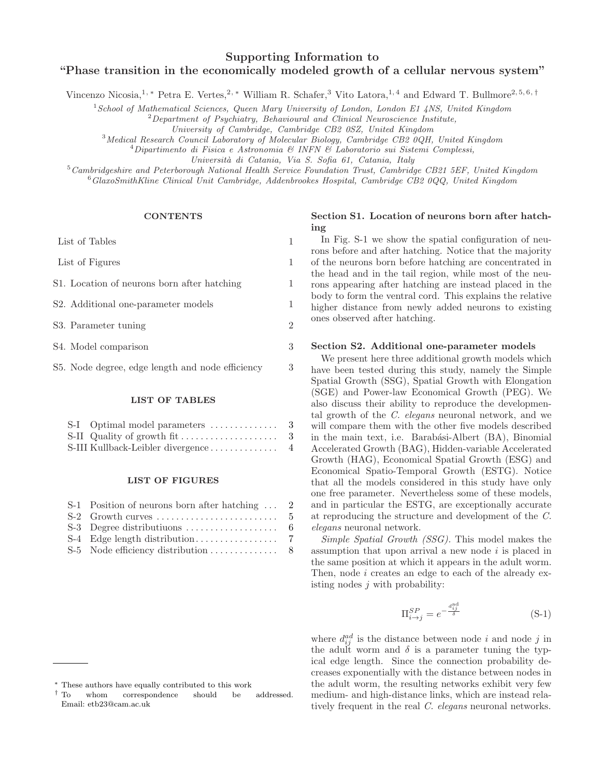# Supporting Information to "Phase transition in the economically modeled growth of a cellular nervous system"

Vincenzo Nicosia,<sup>1,</sup> ∗ Petra E. Vertes,<sup>2,</sup> ∗ William R. Schafer,<sup>3</sup> Vito Latora,<sup>1,4</sup> and Edward T. Bullmore<sup>2,5,6,†</sup>

 $1$ School of Mathematical Sciences, Queen Mary University of London, London E1 4NS, United Kingdom

 $2$ Department of Psychiatry, Behavioural and Clinical Neuroscience Institute,

University of Cambridge, Cambridge CB2 0SZ, United Kingdom

<sup>3</sup>Medical Research Council Laboratory of Molecular Biology, Cambridge CB2 0QH, United Kingdom

 $^4$ Dipartimento di Fisica e Astronomia & INFN & Laboratorio sui Sistemi Complessi,

Universit`a di Catania, Via S. Sofia 61, Catania, Italy

<sup>5</sup>Cambridgeshire and Peterborough National Health Service Foundation Trust, Cambridge CB21 5EF, United Kingdom

 $6$ GlaxoSmithKline Clinical Unit Cambridge, Addenbrookes Hospital, Cambridge CB2 0QQ, United Kingdom

#### **CONTENTS**

| List of Tables                                   |                |
|--------------------------------------------------|----------------|
| List of Figures                                  |                |
| S1. Location of neurons born after hatching      |                |
| S <sub>2</sub> . Additional one-parameter models |                |
| S3. Parameter tuning                             | $\mathfrak{D}$ |
| S <sub>4</sub> . Model comparison                |                |

S5. Node degree, edge length and node efficiency 3

## LIST OF TABLES

#### LIST OF FIGURES

| S-1 Position of neurons born after hatching $\ldots$ 2           |  |
|------------------------------------------------------------------|--|
|                                                                  |  |
|                                                                  |  |
|                                                                  |  |
| S-5 Node efficiency distribution $\ldots \ldots \ldots \ldots$ 8 |  |

# Section S1. Location of neurons born after hatching

In Fig. S-1 we show the spatial configuration of neurons before and after hatching. Notice that the majority of the neurons born before hatching are concentrated in the head and in the tail region, while most of the neurons appearing after hatching are instead placed in the body to form the ventral cord. This explains the relative higher distance from newly added neurons to existing ones observed after hatching.

#### Section S2. Additional one-parameter models

We present here three additional growth models which have been tested during this study, namely the Simple Spatial Growth (SSG), Spatial Growth with Elongation (SGE) and Power-law Economical Growth (PEG). We also discuss their ability to reproduce the developmental growth of the C. elegans neuronal network, and we will compare them with the other five models described in the main text, i.e. Barabási-Albert (BA), Binomial Accelerated Growth (BAG), Hidden-variable Accelerated Growth (HAG), Economical Spatial Growth (ESG) and Economical Spatio-Temporal Growth (ESTG). Notice that all the models considered in this study have only one free parameter. Nevertheless some of these models, and in particular the ESTG, are exceptionally accurate at reproducing the structure and development of the C. elegans neuronal network.

Simple Spatial Growth (SSG). This model makes the assumption that upon arrival a new node  $i$  is placed in the same position at which it appears in the adult worm. Then, node *i* creates an edge to each of the already existing nodes  $j$  with probability:

$$
\Pi_{i \to j}^{SP} = e^{-\frac{d_{ij}^{\text{ad}}}{\delta}} \tag{S-1}
$$

where  $d_{ij}^{ad}$  is the distance between node i and node j in the adult worm and  $\delta$  is a parameter tuning the typical edge length. Since the connection probability decreases exponentially with the distance between nodes in the adult worm, the resulting networks exhibit very few medium- and high-distance links, which are instead relatively frequent in the real C. elegans neuronal networks.

<sup>∗</sup> These authors have equally contributed to this work

<sup>†</sup> To whom correspondence should be addressed. Email: etb23@cam.ac.uk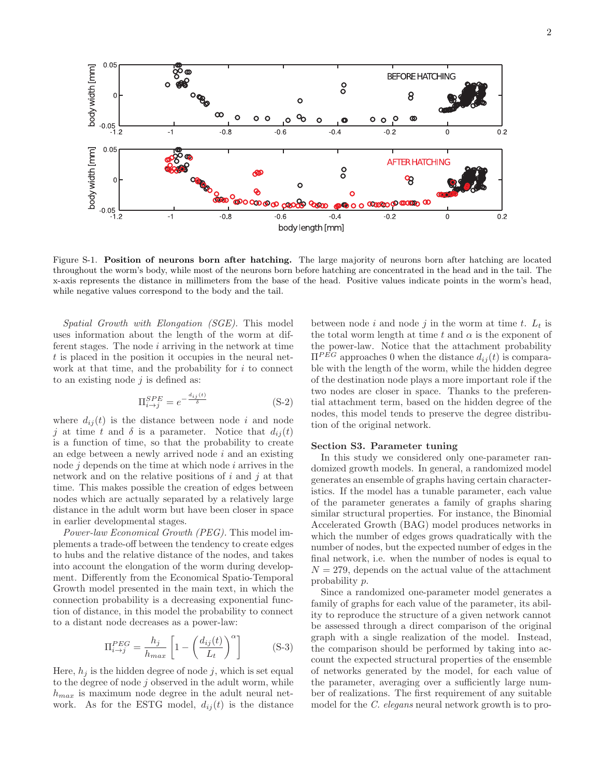

 $\circ$ 

௸௦  $\Omega$ 

 $-0.4$ 

**acco pacco** a

 $-0.2$ 

Figure S-1. Position of neurons born after hatching. The large majority of neurons born after hatching are located throughout the worm's body, while most of the neurons born before hatching are concentrated in the head and in the tail. The x-axis represents the distance in millimeters from the base of the head. Positive values indicate points in the worm's head, while negative values correspond to the body and the tail.

അറി അമ

body length [mm]

Ø

഻഻ൕ൦൚൭൭

 $-0.6$ 

 $-0.8$ 

Spatial Growth with Elongation (SGE). This model uses information about the length of the worm at different stages. The node i arriving in the network at time t is placed in the position it occupies in the neural network at that time, and the probability for  $i$  to connect to an existing node  $j$  is defined as:

 $-1$ 

 $0.05$ 

 $0.05$ <sub>1.2</sub>

 $0.05$ 

 $\sqrt{ }$ 

 $0.05$   $1.2$ 

body width [mm]

body width [mm]

$$
\Pi_{i \to j}^{SPE} = e^{-\frac{d_{ij}(t)}{\delta}} \tag{S-2}
$$

where  $d_{ij}(t)$  is the distance between node i and node j at time t and  $\delta$  is a parameter. Notice that  $d_{ij}(t)$ is a function of time, so that the probability to create an edge between a newly arrived node  $i$  and an existing node  $j$  depends on the time at which node  $i$  arrives in the network and on the relative positions of  $i$  and  $j$  at that time. This makes possible the creation of edges between nodes which are actually separated by a relatively large distance in the adult worm but have been closer in space in earlier developmental stages.

Power-law Economical Growth (PEG). This model implements a trade-off between the tendency to create edges to hubs and the relative distance of the nodes, and takes into account the elongation of the worm during development. Differently from the Economical Spatio-Temporal Growth model presented in the main text, in which the connection probability is a decreasing exponential function of distance, in this model the probability to connect to a distant node decreases as a power-law:

$$
\Pi_{i \to j}^{PEG} = \frac{h_j}{h_{max}} \left[ 1 - \left( \frac{d_{ij}(t)}{L_t} \right)^{\alpha} \right]
$$
 (S-3)

Here,  $h_j$  is the hidden degree of node j, which is set equal to the degree of node j observed in the adult worm, while  $h_{max}$  is maximum node degree in the adult neural network. As for the ESTG model,  $d_{ij}(t)$  is the distance between node i and node j in the worm at time t.  $L_t$  is the total worm length at time  $t$  and  $\alpha$  is the exponent of the power-law. Notice that the attachment probability  $\Pi^{P\vec{EG}}$  approaches 0 when the distance  $d_{ij}(t)$  is comparable with the length of the worm, while the hidden degree of the destination node plays a more important role if the two nodes are closer in space. Thanks to the preferential attachment term, based on the hidden degree of the nodes, this model tends to preserve the degree distribution of the original network.

 $\Omega$ 

 $0.2$ 

#### Section S3. Parameter tuning

In this study we considered only one-parameter randomized growth models. In general, a randomized model generates an ensemble of graphs having certain characteristics. If the model has a tunable parameter, each value of the parameter generates a family of graphs sharing similar structural properties. For instance, the Binomial Accelerated Growth (BAG) model produces networks in which the number of edges grows quadratically with the number of nodes, but the expected number of edges in the final network, i.e. when the number of nodes is equal to  $N = 279$ , depends on the actual value of the attachment probability p.

Since a randomized one-parameter model generates a family of graphs for each value of the parameter, its ability to reproduce the structure of a given network cannot be assessed through a direct comparison of the original graph with a single realization of the model. Instead, the comparison should be performed by taking into account the expected structural properties of the ensemble of networks generated by the model, for each value of the parameter, averaging over a sufficiently large number of realizations. The first requirement of any suitable model for the *C. elegans* neural network growth is to pro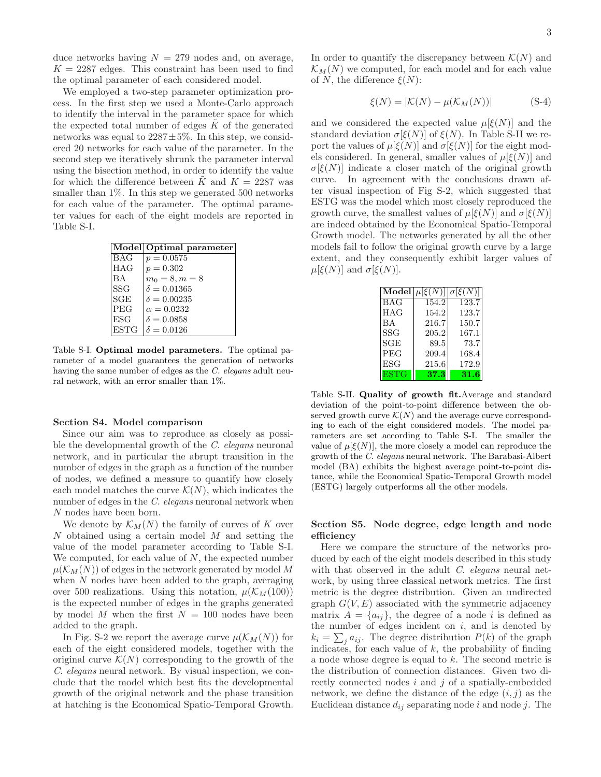duce networks having  $N = 279$  nodes and, on average,  $K = 2287$  edges. This constraint has been used to find the optimal parameter of each considered model.

We employed a two-step parameter optimization process. In the first step we used a Monte-Carlo approach to identify the interval in the parameter space for which the expected total number of edges  $K$  of the generated networks was equal to  $2287 \pm 5\%$ . In this step, we considered 20 networks for each value of the parameter. In the second step we iteratively shrunk the parameter interval using the bisection method, in order to identify the value for which the difference between K and  $K = 2287$  was smaller than 1%. In this step we generated 500 networks for each value of the parameter. The optimal parameter values for each of the eight models are reported in Table S-I.

| Model Optimal parameter |
|-------------------------|
| $p = 0.0575$            |
| $p = 0.302$             |
| $m_0 = 8, m = 8$        |
| $\delta = 0.01365$      |
| $\delta = 0.00235$      |
| $\alpha = 0.0232$       |
| $\delta = 0.0858$       |
| $\delta = 0.0126$       |
|                         |

Table S-I. Optimal model parameters. The optimal parameter of a model guarantees the generation of networks having the same number of edges as the C. elegans adult neural network, with an error smaller than 1%.

#### Section S4. Model comparison

Since our aim was to reproduce as closely as possible the developmental growth of the C. elegans neuronal network, and in particular the abrupt transition in the number of edges in the graph as a function of the number of nodes, we defined a measure to quantify how closely each model matches the curve  $\mathcal{K}(N)$ , which indicates the number of edges in the C. elegans neuronal network when N nodes have been born.

We denote by  $\mathcal{K}_M(N)$  the family of curves of K over N obtained using a certain model M and setting the value of the model parameter according to Table S-I. We computed, for each value of  $N$ , the expected number  $\mu(\mathcal{K}_M(N))$  of edges in the network generated by model M when  $N$  nodes have been added to the graph, averaging over 500 realizations. Using this notation,  $\mu(\mathcal{K}_M(100))$ is the expected number of edges in the graphs generated by model M when the first  $N = 100$  nodes have been added to the graph.

In Fig. S-2 we report the average curve  $\mu(\mathcal{K}_M(N))$  for each of the eight considered models, together with the original curve  $\mathcal{K}(N)$  corresponding to the growth of the C. elegans neural network. By visual inspection, we conclude that the model which best fits the developmental growth of the original network and the phase transition at hatching is the Economical Spatio-Temporal Growth.

In order to quantify the discrepancy between  $\mathcal{K}(N)$  and  $\mathcal{K}_M(N)$  we computed, for each model and for each value of N, the difference  $\xi(N)$ :

$$
\xi(N) = |\mathcal{K}(N) - \mu(\mathcal{K}_M(N))|
$$
 (S-4)

and we considered the expected value  $\mu[\xi(N)]$  and the standard deviation  $\sigma[\xi(N)]$  of  $\xi(N)$ . In Table S-II we report the values of  $\mu[\xi(N)]$  and  $\sigma[\xi(N)]$  for the eight models considered. In general, smaller values of  $\mu[\xi(N)]$  and  $\sigma[\xi(N)]$  indicate a closer match of the original growth curve. In agreement with the conclusions drawn after visual inspection of Fig S-2, which suggested that ESTG was the model which most closely reproduced the growth curve, the smallest values of  $\mu[\xi(N)]$  and  $\sigma[\xi(N)]$ are indeed obtained by the Economical Spatio-Temporal Growth model. The networks generated by all the other models fail to follow the original growth curve by a large extent, and they consequently exhibit larger values of  $\mu[\xi(N)]$  and  $\sigma[\xi(N)]$ .

|                       | $\textbf{Model} \left  \mu[\xi(N)] \right  \sigma[\xi(N)]$ |       |
|-----------------------|------------------------------------------------------------|-------|
| $\overline{B}AG$      | 154.2                                                      | 123.7 |
| $_{\rm HAG}$          | 154.2                                                      | 123.7 |
| <b>BA</b>             | 216.7                                                      | 150.7 |
| <b>SSG</b>            | 205.2                                                      | 167.1 |
| <b>SGE</b>            | 89.5                                                       | 73.7  |
| <b>PEG</b>            | 209.4                                                      | 168.4 |
| <b>ESG</b>            | 215.6                                                      | 172.9 |
| $\operatorname{ESTG}$ | 37.3                                                       | 31.6  |

Table S-II. Quality of growth fit.Average and standard deviation of the point-to-point difference between the observed growth curve  $\mathcal{K}(N)$  and the average curve corresponding to each of the eight considered models. The model parameters are set according to Table S-I. The smaller the value of  $\mu[\xi(N)]$ , the more closely a model can reproduce the growth of the C. elegans neural network. The Barabasi-Albert model (BA) exhibits the highest average point-to-point distance, while the Economical Spatio-Temporal Growth model (ESTG) largely outperforms all the other models.

### Section S5. Node degree, edge length and node efficiency

Here we compare the structure of the networks produced by each of the eight models described in this study with that observed in the adult C. elegans neural network, by using three classical network metrics. The first metric is the degree distribution. Given an undirected graph  $G(V, E)$  associated with the symmetric adjacency matrix  $A = \{a_{ij}\}\$ , the degree of a node i is defined as the number of edges incident on  $i$ , and is denoted by  $k_i = \sum_j a_{ij}$ . The degree distribution  $P(k)$  of the graph indicates, for each value of  $k$ , the probability of finding a node whose degree is equal to k. The second metric is the distribution of connection distances. Given two directly connected nodes  $i$  and  $j$  of a spatially-embedded network, we define the distance of the edge  $(i, j)$  as the Euclidean distance  $d_{ij}$  separating node i and node j. The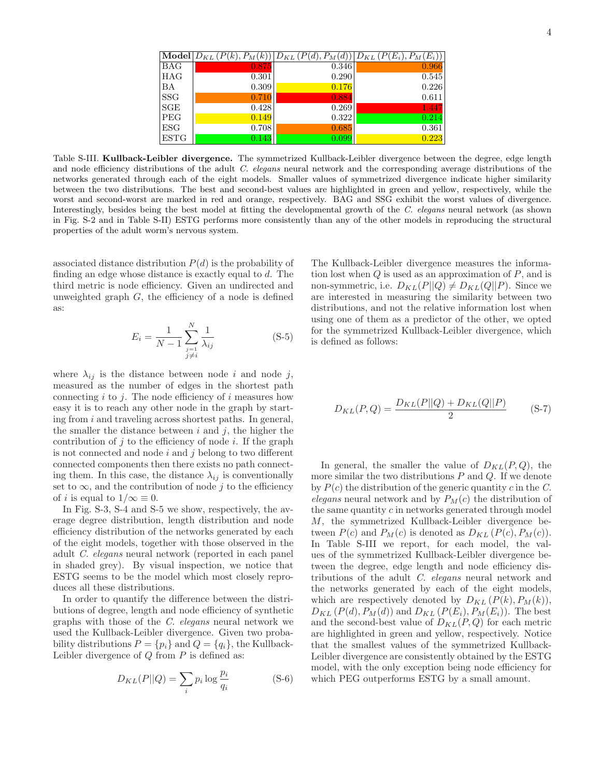|               |       |       | $ \textbf{Model}  D_{KL}(P(k), P_M(k))  D_{KL}(P(d), P_M(d))  D_{KL}(P(E_i), P_M(E_i))$ |
|---------------|-------|-------|-----------------------------------------------------------------------------------------|
| BAG           | 0.875 | 0.346 | 0.966                                                                                   |
| HAG           | 0.301 | 0.290 | 0.545                                                                                   |
| BA            | 0.309 | 0.176 | 0.226                                                                                   |
| <b>SSG</b>    | 0.710 | 0.884 | 0.611                                                                                   |
| $ {\rm SGE} $ | 0.428 | 0.269 | 1.447                                                                                   |
| $ {\rm PEG}$  | 0.149 | 0.322 | 0.214                                                                                   |
| ESG           | 0.708 | 0.685 | 0.361                                                                                   |
| ESTG          | 0.143 | 0.099 | 0.223                                                                                   |

Table S-III. Kullback-Leibler divergence. The symmetrized Kullback-Leibler divergence between the degree, edge length and node efficiency distributions of the adult C. elegans neural network and the corresponding average distributions of the networks generated through each of the eight models. Smaller values of symmetrized divergence indicate higher similarity between the two distributions. The best and second-best values are highlighted in green and yellow, respectively, while the worst and second-worst are marked in red and orange, respectively. BAG and SSG exhibit the worst values of divergence. Interestingly, besides being the best model at fitting the developmental growth of the C. elegans neural network (as shown in Fig. S-2 and in Table S-II) ESTG performs more consistently than any of the other models in reproducing the structural properties of the adult worm's nervous system.

associated distance distribution  $P(d)$  is the probability of finding an edge whose distance is exactly equal to d. The third metric is node efficiency. Given an undirected and unweighted graph  $G$ , the efficiency of a node is defined as:

$$
E_i = \frac{1}{N-1} \sum_{\substack{j=1 \ j \neq i}}^{N} \frac{1}{\lambda_{ij}}
$$
 (S-5)

where  $\lambda_{ij}$  is the distance between node i and node j, measured as the number of edges in the shortest path connecting  $i$  to  $j$ . The node efficiency of  $i$  measures how easy it is to reach any other node in the graph by starting from  $i$  and traveling across shortest paths. In general, the smaller the distance between  $i$  and  $j$ , the higher the contribution of  $j$  to the efficiency of node  $i$ . If the graph is not connected and node  $i$  and  $j$  belong to two different connected components then there exists no path connecting them. In this case, the distance  $\lambda_{ij}$  is conventionally set to  $\infty$ , and the contribution of node j to the efficiency of *i* is equal to  $1/\infty \equiv 0$ .

In Fig. S-3, S-4 and S-5 we show, respectively, the average degree distribution, length distribution and node efficiency distribution of the networks generated by each of the eight models, together with those observed in the adult C. elegans neural network (reported in each panel in shaded grey). By visual inspection, we notice that ESTG seems to be the model which most closely reproduces all these distributions.

In order to quantify the difference between the distributions of degree, length and node efficiency of synthetic graphs with those of the C. elegans neural network we used the Kullback-Leibler divergence. Given two probability distributions  $P = \{p_i\}$  and  $Q = \{q_i\}$ , the Kullback-Leibler divergence of  $Q$  from  $P$  is defined as:

$$
D_{KL}(P||Q) = \sum_{i} p_i \log \frac{p_i}{q_i}
$$
 (S-6)

The Kullback-Leibler divergence measures the information lost when  $Q$  is used as an approximation of  $P$ , and is non-symmetric, i.e.  $D_{KL}(P||Q) \neq D_{KL}(Q||P)$ . Since we are interested in measuring the similarity between two distributions, and not the relative information lost when using one of them as a predictor of the other, we opted for the symmetrized Kullback-Leibler divergence, which is defined as follows:

$$
D_{KL}(P,Q) = \frac{D_{KL}(P||Q) + D_{KL}(Q||P)}{2}
$$
 (S-7)

In general, the smaller the value of  $D_{KL}(P,Q)$ , the more similar the two distributions  $P$  and  $Q$ . If we denote by  $P(c)$  the distribution of the generic quantity c in the C. elegans neural network and by  $P_M(c)$  the distribution of the same quantity  $c$  in networks generated through model M, the symmetrized Kullback-Leibler divergence between  $P(c)$  and  $P_M(c)$  is denoted as  $D_{KL}(P(c), P_M(c))$ . In Table S-III we report, for each model, the values of the symmetrized Kullback-Leibler divergence between the degree, edge length and node efficiency distributions of the adult C. elegans neural network and the networks generated by each of the eight models, which are respectively denoted by  $D_{KL}(P(k), P_M(k)),$  $D_{KL}$   $(P(d), P_M(d))$  and  $D_{KL}$   $(P(E_i), P_M(E_i))$ . The best and the second-best value of  $D_{KL}(P,Q)$  for each metric are highlighted in green and yellow, respectively. Notice that the smallest values of the symmetrized Kullback-Leibler divergence are consistently obtained by the ESTG model, with the only exception being node efficiency for which PEG outperforms ESTG by a small amount.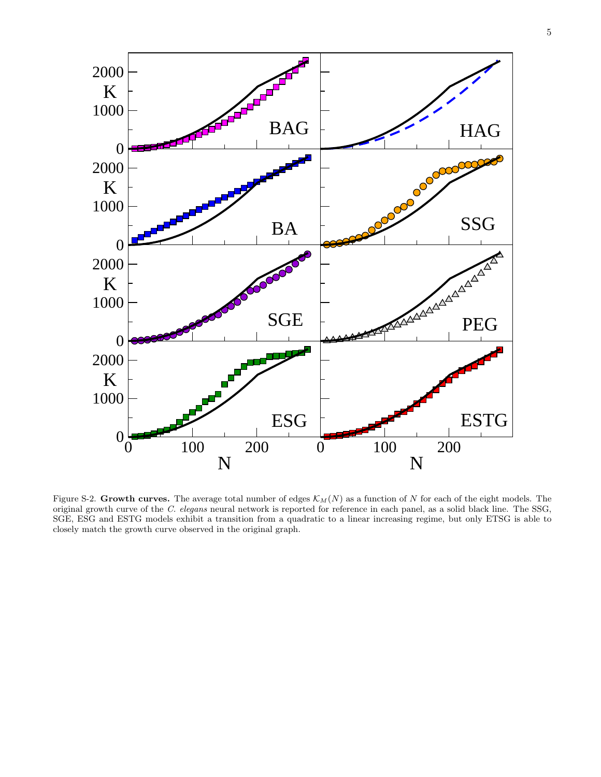

Figure S-2. Growth curves. The average total number of edges  $\mathcal{K}_M(N)$  as a function of N for each of the eight models. The original growth curve of the C. elegans neural network is reported for reference in each panel, as a solid black line. The SSG, SGE, ESG and ESTG models exhibit a transition from a quadratic to a linear increasing regime, but only ETSG is able to closely match the growth curve observed in the original graph.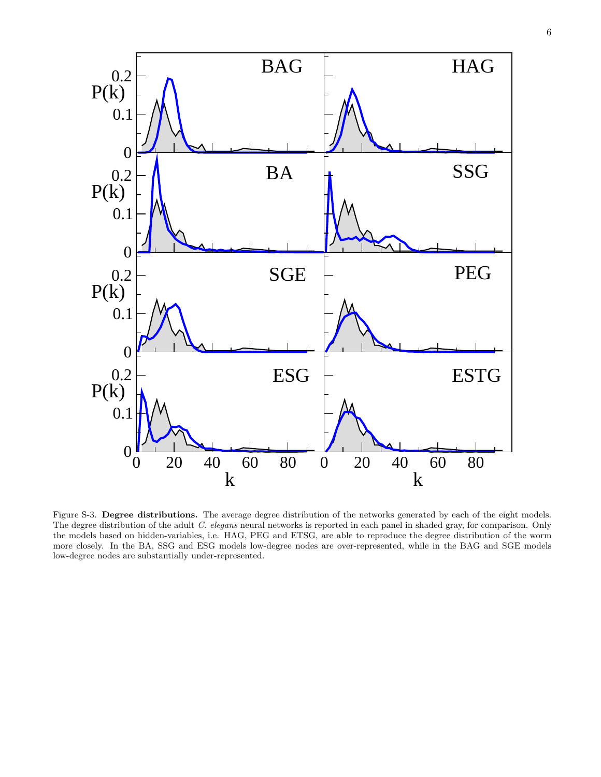

Figure S-3. Degree distributions. The average degree distribution of the networks generated by each of the eight models. The degree distribution of the adult C. elegans neural networks is reported in each panel in shaded gray, for comparison. Only the models based on hidden-variables, i.e. HAG, PEG and ETSG, are able to reproduce the degree distribution of the worm more closely. In the BA, SSG and ESG models low-degree nodes are over-represented, while in the BAG and SGE models low-degree nodes are substantially under-represented.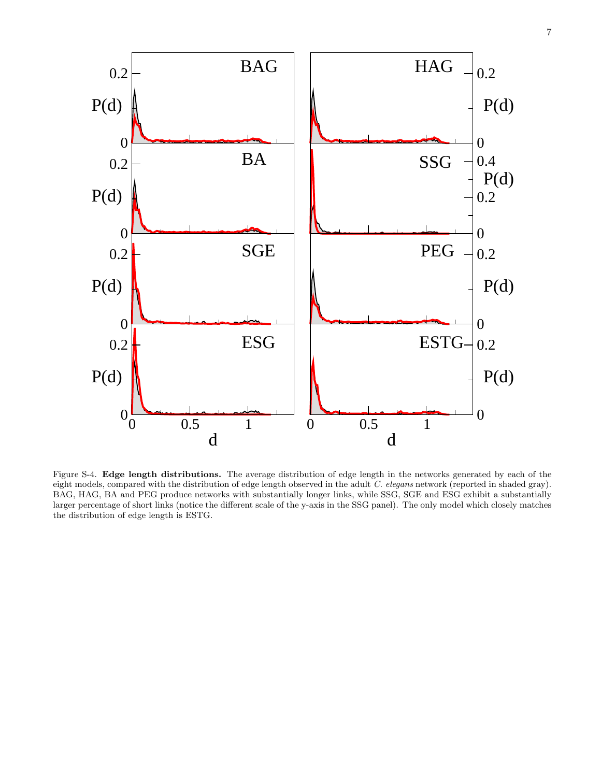

Figure S-4. Edge length distributions. The average distribution of edge length in the networks generated by each of the eight models, compared with the distribution of edge length observed in the adult C. elegans network (reported in shaded gray). BAG, HAG, BA and PEG produce networks with substantially longer links, while SSG, SGE and ESG exhibit a substantially larger percentage of short links (notice the different scale of the y-axis in the SSG panel). The only model which closely matches the distribution of edge length is ESTG.